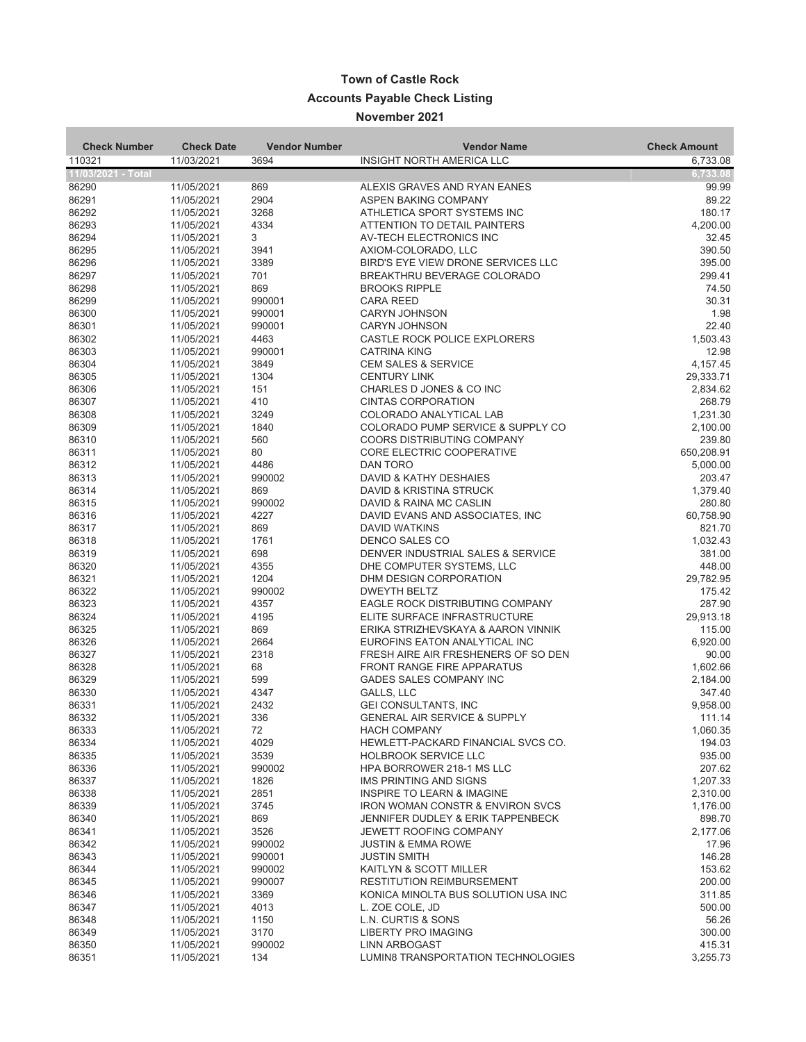## **Town of Castle Rock Accounts Payable Check Listing November 2021**

| <b>Check Number</b> | <b>Check Date</b>        | <b>Vendor Number</b> | <b>Vendor Name</b>                                                  | <b>Check Amount</b> |
|---------------------|--------------------------|----------------------|---------------------------------------------------------------------|---------------------|
| 110321              | 11/03/2021               | 3694                 | INSIGHT NORTH AMERICA LLC                                           | 6,733.08            |
| 11/03/2021 - Total  |                          |                      |                                                                     | 6,733.08            |
| 86290               | 11/05/2021               | 869                  | ALEXIS GRAVES AND RYAN EANES                                        | 99.99               |
| 86291               | 11/05/2021               | 2904                 | ASPEN BAKING COMPANY                                                | 89.22               |
| 86292               | 11/05/2021               | 3268                 | ATHLETICA SPORT SYSTEMS INC                                         | 180.17              |
| 86293               | 11/05/2021               | 4334                 | ATTENTION TO DETAIL PAINTERS                                        | 4,200.00            |
| 86294               | 11/05/2021               | 3                    | AV-TECH ELECTRONICS INC                                             | 32.45               |
| 86295               | 11/05/2021               | 3941                 | AXIOM-COLORADO, LLC                                                 | 390.50              |
| 86296               | 11/05/2021               | 3389                 | BIRD'S EYE VIEW DRONE SERVICES LLC                                  | 395.00              |
| 86297               | 11/05/2021               | 701                  | BREAKTHRU BEVERAGE COLORADO                                         | 299.41              |
| 86298               | 11/05/2021               | 869                  | <b>BROOKS RIPPLE</b>                                                | 74.50               |
| 86299<br>86300      | 11/05/2021               | 990001<br>990001     | <b>CARA REED</b>                                                    | 30.31<br>1.98       |
| 86301               | 11/05/2021<br>11/05/2021 | 990001               | <b>CARYN JOHNSON</b><br><b>CARYN JOHNSON</b>                        | 22.40               |
| 86302               | 11/05/2021               | 4463                 | CASTLE ROCK POLICE EXPLORERS                                        | 1,503.43            |
| 86303               | 11/05/2021               | 990001               | <b>CATRINA KING</b>                                                 | 12.98               |
| 86304               | 11/05/2021               | 3849                 | <b>CEM SALES &amp; SERVICE</b>                                      | 4,157.45            |
| 86305               | 11/05/2021               | 1304                 | <b>CENTURY LINK</b>                                                 | 29,333.71           |
| 86306               | 11/05/2021               | 151                  | CHARLES D JONES & CO INC                                            | 2,834.62            |
| 86307               | 11/05/2021               | 410                  | <b>CINTAS CORPORATION</b>                                           | 268.79              |
| 86308               | 11/05/2021               | 3249                 | COLORADO ANALYTICAL LAB                                             | 1,231.30            |
| 86309               | 11/05/2021               | 1840                 | COLORADO PUMP SERVICE & SUPPLY CO                                   | 2,100.00            |
| 86310               | 11/05/2021               | 560                  | <b>COORS DISTRIBUTING COMPANY</b>                                   | 239.80              |
| 86311               | 11/05/2021               | 80                   | CORE ELECTRIC COOPERATIVE                                           | 650,208.91          |
| 86312               | 11/05/2021               | 4486                 | DAN TORO                                                            | 5,000.00            |
| 86313               | 11/05/2021               | 990002               | DAVID & KATHY DESHAIES                                              | 203.47              |
| 86314               | 11/05/2021               | 869                  | DAVID & KRISTINA STRUCK                                             | 1,379.40            |
| 86315<br>86316      | 11/05/2021<br>11/05/2021 | 990002<br>4227       | DAVID & RAINA MC CASLIN<br>DAVID EVANS AND ASSOCIATES, INC.         | 280.80<br>60,758.90 |
| 86317               | 11/05/2021               | 869                  | <b>DAVID WATKINS</b>                                                | 821.70              |
| 86318               | 11/05/2021               | 1761                 | DENCO SALES CO                                                      | 1,032.43            |
| 86319               | 11/05/2021               | 698                  | DENVER INDUSTRIAL SALES & SERVICE                                   | 381.00              |
| 86320               | 11/05/2021               | 4355                 | DHE COMPUTER SYSTEMS, LLC                                           | 448.00              |
| 86321               | 11/05/2021               | 1204                 | DHM DESIGN CORPORATION                                              | 29,782.95           |
| 86322               | 11/05/2021               | 990002               | <b>DWEYTH BELTZ</b>                                                 | 175.42              |
| 86323               | 11/05/2021               | 4357                 | EAGLE ROCK DISTRIBUTING COMPANY                                     | 287.90              |
| 86324               | 11/05/2021               | 4195                 | ELITE SURFACE INFRASTRUCTURE                                        | 29,913.18           |
| 86325               | 11/05/2021               | 869                  | ERIKA STRIZHEVSKAYA & AARON VINNIK                                  | 115.00              |
| 86326               | 11/05/2021               | 2664                 | EUROFINS EATON ANALYTICAL INC                                       | 6,920.00            |
| 86327               | 11/05/2021               | 2318                 | FRESH AIRE AIR FRESHENERS OF SO DEN                                 | 90.00               |
| 86328               | 11/05/2021               | 68                   | <b>FRONT RANGE FIRE APPARATUS</b><br><b>GADES SALES COMPANY INC</b> | 1,602.66            |
| 86329<br>86330      | 11/05/2021               | 599<br>4347          |                                                                     | 2,184.00<br>347.40  |
| 86331               | 11/05/2021<br>11/05/2021 | 2432                 | GALLS, LLC<br><b>GEI CONSULTANTS, INC</b>                           | 9,958.00            |
| 86332               | 11/05/2021               | 336                  | <b>GENERAL AIR SERVICE &amp; SUPPLY</b>                             | 111.14              |
| 86333               | 11/05/2021               | 72                   | <b>HACH COMPANY</b>                                                 | 1,060.35            |
| 86334               | 11/05/2021               | 4029                 | HEWLETT-PACKARD FINANCIAL SVCS CO.                                  | 194.03              |
| 86335               | 11/05/2021               | 3539                 | <b>HOLBROOK SERVICE LLC</b>                                         | 935.00              |
| 86336               | 11/05/2021               | 990002               | HPA BORROWER 218-1 MS LLC                                           | 207.62              |
| 86337               | 11/05/2021               | 1826                 | <b>IMS PRINTING AND SIGNS</b>                                       | 1,207.33            |
| 86338               | 11/05/2021               | 2851                 | <b>INSPIRE TO LEARN &amp; IMAGINE</b>                               | 2,310.00            |
| 86339               | 11/05/2021               | 3745                 | <b>IRON WOMAN CONSTR &amp; ENVIRON SVCS</b>                         | 1,176.00            |
| 86340               | 11/05/2021               | 869                  | <b>JENNIFER DUDLEY &amp; ERIK TAPPENBECK</b>                        | 898.70              |
| 86341               | 11/05/2021               | 3526                 | <b>JEWETT ROOFING COMPANY</b>                                       | 2,177.06            |
| 86342               | 11/05/2021               | 990002               | <b>JUSTIN &amp; EMMA ROWE</b><br><b>JUSTIN SMITH</b>                | 17.96<br>146.28     |
| 86343<br>86344      | 11/05/2021<br>11/05/2021 | 990001<br>990002     | KAITLYN & SCOTT MILLER                                              | 153.62              |
| 86345               | 11/05/2021               | 990007               | <b>RESTITUTION REIMBURSEMENT</b>                                    | 200.00              |
| 86346               | 11/05/2021               | 3369                 | KONICA MINOLTA BUS SOLUTION USA INC                                 | 311.85              |
| 86347               | 11/05/2021               | 4013                 | L. ZOE COLE, JD                                                     | 500.00              |
| 86348               | 11/05/2021               | 1150                 | L.N. CURTIS & SONS                                                  | 56.26               |
| 86349               | 11/05/2021               | 3170                 | <b>LIBERTY PRO IMAGING</b>                                          | 300.00              |
| 86350               | 11/05/2021               | 990002               | <b>LINN ARBOGAST</b>                                                | 415.31              |
| 86351               | 11/05/2021               | 134                  | LUMIN8 TRANSPORTATION TECHNOLOGIES                                  | 3,255.73            |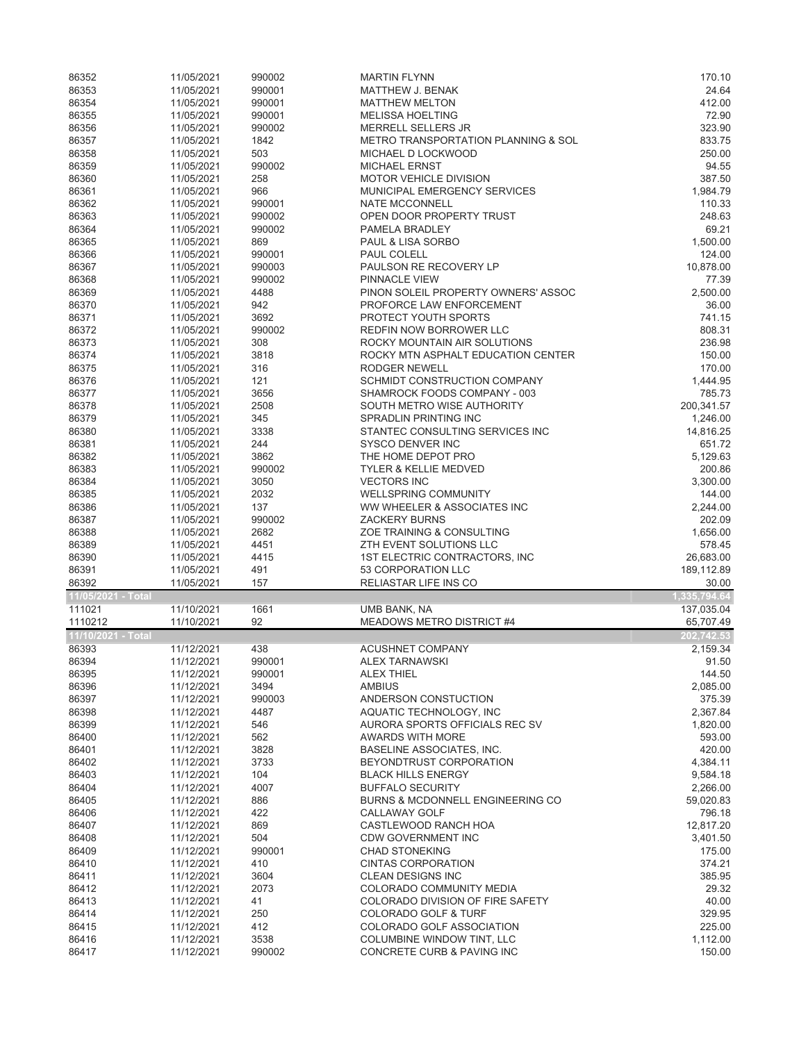| 86352              | 11/05/2021               | 990002         | <b>MARTIN FLYNN</b>                                      | 170.10             |
|--------------------|--------------------------|----------------|----------------------------------------------------------|--------------------|
| 86353              | 11/05/2021               | 990001         | <b>MATTHEW J. BENAK</b>                                  | 24.64              |
| 86354              | 11/05/2021               | 990001         | <b>MATTHEW MELTON</b>                                    | 412.00             |
| 86355              | 11/05/2021               | 990001         | <b>MELISSA HOELTING</b>                                  | 72.90              |
| 86356              | 11/05/2021               | 990002         | <b>MERRELL SELLERS JR</b>                                | 323.90             |
| 86357              | 11/05/2021               | 1842           | <b>METRO TRANSPORTATION PLANNING &amp; SOL</b>           | 833.75             |
| 86358              | 11/05/2021               | 503            | MICHAEL D LOCKWOOD                                       | 250.00             |
| 86359              | 11/05/2021               | 990002         | <b>MICHAEL ERNST</b>                                     | 94.55              |
| 86360              | 11/05/2021               | 258            | <b>MOTOR VEHICLE DIVISION</b>                            | 387.50             |
| 86361              | 11/05/2021               | 966            | MUNICIPAL EMERGENCY SERVICES                             | 1,984.79           |
| 86362              | 11/05/2021               | 990001         | <b>NATE MCCONNELL</b>                                    | 110.33             |
| 86363              | 11/05/2021               | 990002         | OPEN DOOR PROPERTY TRUST                                 | 248.63             |
| 86364              | 11/05/2021               | 990002         | PAMELA BRADLEY                                           | 69.21              |
| 86365              | 11/05/2021               | 869            | PAUL & LISA SORBO                                        | 1,500.00           |
| 86366              | 11/05/2021               | 990001         | PAUL COLELL                                              | 124.00             |
| 86367              | 11/05/2021               | 990003         | PAULSON RE RECOVERY LP                                   | 10,878.00          |
| 86368              | 11/05/2021               | 990002         | PINNACLE VIEW                                            | 77.39              |
| 86369              | 11/05/2021               | 4488           | PINON SOLEIL PROPERTY OWNERS' ASSOC                      | 2,500.00           |
| 86370              | 11/05/2021               | 942            | PROFORCE LAW ENFORCEMENT                                 | 36.00              |
| 86371              | 11/05/2021               | 3692           | PROTECT YOUTH SPORTS                                     | 741.15             |
| 86372              | 11/05/2021               | 990002         | REDFIN NOW BORROWER LLC                                  | 808.31             |
| 86373              | 11/05/2021               | 308            | ROCKY MOUNTAIN AIR SOLUTIONS                             | 236.98             |
| 86374              | 11/05/2021               | 3818           | ROCKY MTN ASPHALT EDUCATION CENTER                       | 150.00             |
| 86375              | 11/05/2021               | 316            | <b>RODGER NEWELL</b>                                     | 170.00             |
| 86376              | 11/05/2021               | 121            | SCHMIDT CONSTRUCTION COMPANY                             | 1,444.95           |
| 86377              | 11/05/2021               | 3656           | SHAMROCK FOODS COMPANY - 003                             | 785.73             |
| 86378              | 11/05/2021               | 2508           | SOUTH METRO WISE AUTHORITY                               | 200,341.57         |
| 86379              | 11/05/2021               | 345            | SPRADLIN PRINTING INC                                    | 1,246.00           |
| 86380              | 11/05/2021               | 3338           | STANTEC CONSULTING SERVICES INC                          | 14,816.25          |
| 86381              | 11/05/2021               | 244            | SYSCO DENVER INC                                         | 651.72             |
| 86382              | 11/05/2021               | 3862           | THE HOME DEPOT PRO                                       | 5,129.63           |
| 86383              | 11/05/2021               | 990002         | <b>TYLER &amp; KELLIE MEDVED</b>                         | 200.86             |
| 86384              | 11/05/2021               | 3050           | <b>VECTORS INC</b>                                       | 3,300.00           |
| 86385              | 11/05/2021               | 2032           | <b>WELLSPRING COMMUNITY</b>                              | 144.00             |
| 86386              | 11/05/2021               | 137            | WW WHEELER & ASSOCIATES INC                              | 2,244.00           |
|                    |                          |                |                                                          |                    |
|                    |                          |                |                                                          |                    |
| 86387              | 11/05/2021               | 990002         | <b>ZACKERY BURNS</b>                                     | 202.09             |
| 86388              | 11/05/2021               | 2682           | ZOE TRAINING & CONSULTING                                | 1,656.00           |
| 86389              | 11/05/2021               | 4451           | ZTH EVENT SOLUTIONS LLC                                  | 578.45             |
| 86390              | 11/05/2021               | 4415           | 1ST ELECTRIC CONTRACTORS, INC.                           | 26,683.00          |
| 86391              | 11/05/2021               | 491            | 53 CORPORATION LLC                                       | 189,112.89         |
| 86392              | 11/05/2021               | 157            | RELIASTAR LIFE INS CO                                    | 30.00              |
| 11/05/2021 - Total |                          |                |                                                          | 1,335,794.64       |
| 111021             | 11/10/2021               | 1661           | UMB BANK, NA                                             | 137,035.04         |
| 1110212            | 11/10/2021               | 92             | MEADOWS METRO DISTRICT #4                                | 65,707.49          |
| 11/10/2021 - Total |                          |                |                                                          | 202,742.53         |
| 86393              | 11/12/2021               | 438            | <b>ACUSHNET COMPANY</b>                                  | 2,159.34           |
| 86394              | 11/12/2021               | 990001         | <b>ALEX TARNAWSKI</b>                                    | 91.50              |
| 86395              | 11/12/2021               | 990001         | ALEX THIEL                                               | 144.50             |
| 86396              | 11/12/2021               | 3494           | <b>AMBIUS</b>                                            | 2,085.00           |
| 86397              | 11/12/2021               | 990003         | ANDERSON CONSTUCTION                                     | 375.39             |
| 86398              | 11/12/2021               | 4487           | AQUATIC TECHNOLOGY, INC                                  | 2,367.84           |
| 86399              | 11/12/2021               | 546            | AURORA SPORTS OFFICIALS REC SV                           | 1,820.00           |
| 86400              | 11/12/2021               | 562            | <b>AWARDS WITH MORE</b>                                  | 593.00             |
| 86401              | 11/12/2021               | 3828           | BASELINE ASSOCIATES, INC.                                | 420.00             |
| 86402              | 11/12/2021               | 3733           | BEYONDTRUST CORPORATION                                  | 4,384.11           |
| 86403              | 11/12/2021               | 104            | <b>BLACK HILLS ENERGY</b>                                | 9,584.18           |
| 86404              | 11/12/2021               | 4007           | <b>BUFFALO SECURITY</b>                                  | 2,266.00           |
| 86405              | 11/12/2021               | 886            | BURNS & MCDONNELL ENGINEERING CO                         | 59,020.83          |
| 86406              | 11/12/2021               | 422            | CALLAWAY GOLF                                            | 796.18             |
| 86407              | 11/12/2021               | 869            | CASTLEWOOD RANCH HOA                                     | 12,817.20          |
| 86408              | 11/12/2021               | 504            | <b>CDW GOVERNMENT INC</b>                                | 3,401.50           |
| 86409              | 11/12/2021               | 990001         | <b>CHAD STONEKING</b>                                    | 175.00             |
| 86410              | 11/12/2021               | 410            | <b>CINTAS CORPORATION</b>                                | 374.21             |
| 86411              | 11/12/2021               | 3604           | <b>CLEAN DESIGNS INC</b>                                 | 385.95             |
| 86412              | 11/12/2021               | 2073           | COLORADO COMMUNITY MEDIA                                 | 29.32              |
| 86413              | 11/12/2021               | 41             | COLORADO DIVISION OF FIRE SAFETY                         | 40.00              |
| 86414              | 11/12/2021               | 250            | <b>COLORADO GOLF &amp; TURF</b>                          | 329.95             |
| 86415              | 11/12/2021               | 412            | COLORADO GOLF ASSOCIATION                                | 225.00             |
| 86416<br>86417     | 11/12/2021<br>11/12/2021 | 3538<br>990002 | COLUMBINE WINDOW TINT, LLC<br>CONCRETE CURB & PAVING INC | 1,112.00<br>150.00 |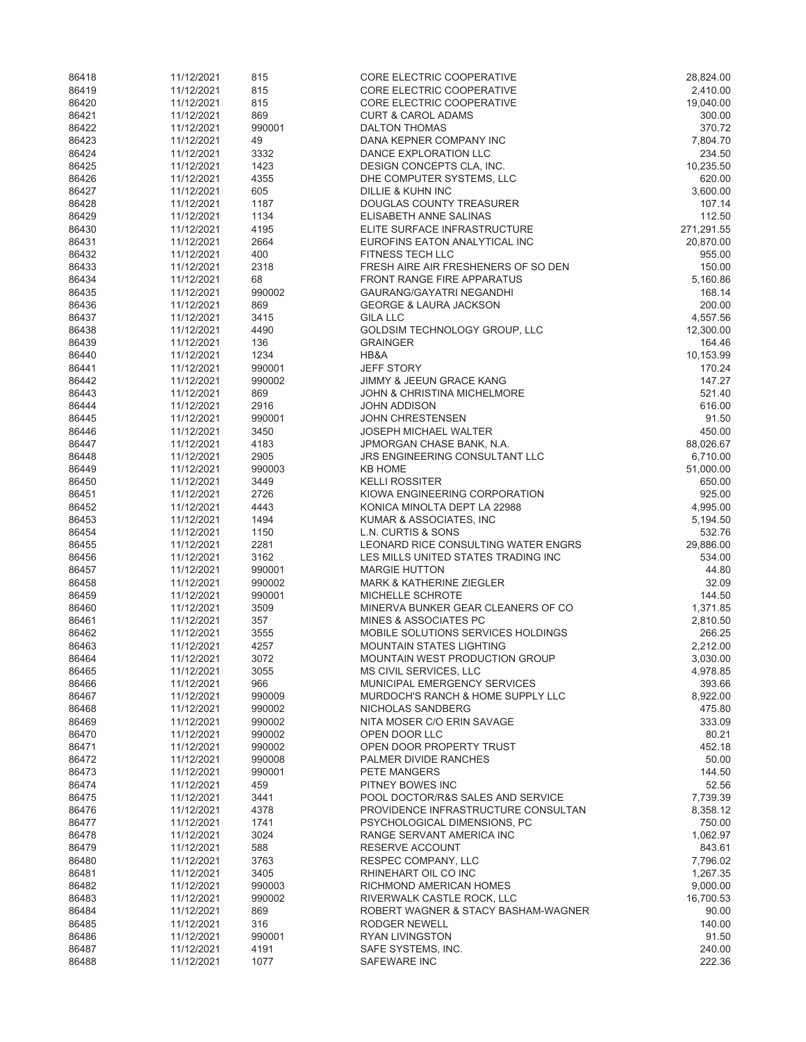| 86418          | 11/12/2021               | 815          | CORE ELECTRIC COOPERATIVE                                             | 28,824.00               |
|----------------|--------------------------|--------------|-----------------------------------------------------------------------|-------------------------|
| 86419          | 11/12/2021               | 815          | CORE ELECTRIC COOPERATIVE                                             | 2,410.00                |
| 86420          | 11/12/2021               | 815          | CORE ELECTRIC COOPERATIVE                                             | 19,040.00               |
| 86421          | 11/12/2021               | 869          | <b>CURT &amp; CAROL ADAMS</b>                                         | 300.00                  |
| 86422          | 11/12/2021               | 990001       | <b>DALTON THOMAS</b>                                                  | 370.72                  |
| 86423          | 11/12/2021               | 49           | DANA KEPNER COMPANY INC                                               | 7,804.70                |
| 86424          | 11/12/2021               | 3332         | DANCE EXPLORATION LLC                                                 | 234.50                  |
| 86425          | 11/12/2021               | 1423         | DESIGN CONCEPTS CLA, INC.                                             | 10,235.50               |
| 86426          | 11/12/2021               | 4355         | DHE COMPUTER SYSTEMS, LLC                                             | 620.00                  |
| 86427          | 11/12/2021               | 605          | DILLIE & KUHN INC                                                     | 3,600.00                |
| 86428          | 11/12/2021               | 1187         | <b>DOUGLAS COUNTY TREASURER</b>                                       | 107.14                  |
| 86429          | 11/12/2021               | 1134         | ELISABETH ANNE SALINAS                                                | 112.50                  |
| 86430<br>86431 | 11/12/2021<br>11/12/2021 | 4195<br>2664 | ELITE SURFACE INFRASTRUCTURE<br>EUROFINS EATON ANALYTICAL INC         | 271,291.55<br>20,870.00 |
| 86432          | 11/12/2021               | 400          | <b>FITNESS TECH LLC</b>                                               | 955.00                  |
| 86433          | 11/12/2021               | 2318         | FRESH AIRE AIR FRESHENERS OF SO DEN                                   | 150.00                  |
| 86434          | 11/12/2021               | 68           | <b>FRONT RANGE FIRE APPARATUS</b>                                     | 5,160.86                |
| 86435          | 11/12/2021               | 990002       | <b>GAURANG/GAYATRI NEGANDHI</b>                                       | 168.14                  |
| 86436          | 11/12/2021               | 869          | <b>GEORGE &amp; LAURA JACKSON</b>                                     | 200.00                  |
| 86437          | 11/12/2021               | 3415         | <b>GILA LLC</b>                                                       | 4,557.56                |
| 86438          | 11/12/2021               | 4490         | GOLDSIM TECHNOLOGY GROUP, LLC                                         | 12,300.00               |
| 86439          | 11/12/2021               | 136          | <b>GRAINGER</b>                                                       | 164.46                  |
| 86440          | 11/12/2021               | 1234         | HB&A                                                                  | 10,153.99               |
| 86441          | 11/12/2021               | 990001       | <b>JEFF STORY</b>                                                     | 170.24                  |
| 86442          | 11/12/2021               | 990002       | JIMMY & JEEUN GRACE KANG                                              | 147.27                  |
| 86443          | 11/12/2021               | 869          | <b>JOHN &amp; CHRISTINA MICHELMORE</b>                                | 521.40                  |
| 86444          | 11/12/2021               | 2916         | <b>JOHN ADDISON</b>                                                   | 616.00                  |
| 86445          | 11/12/2021               | 990001       | <b>JOHN CHRESTENSEN</b>                                               | 91.50                   |
| 86446          | 11/12/2021               | 3450         | <b>JOSEPH MICHAEL WALTER</b>                                          | 450.00                  |
| 86447          | 11/12/2021               | 4183         | JPMORGAN CHASE BANK, N.A.                                             | 88,026.67               |
| 86448          | 11/12/2021               | 2905         | JRS ENGINEERING CONSULTANT LLC                                        | 6,710.00                |
| 86449          | 11/12/2021               | 990003       | <b>KB HOME</b>                                                        | 51,000.00               |
| 86450          | 11/12/2021               | 3449         | <b>KELLI ROSSITER</b>                                                 | 650.00                  |
| 86451          | 11/12/2021               | 2726         | KIOWA ENGINEERING CORPORATION                                         | 925.00                  |
| 86452          | 11/12/2021               | 4443         | KONICA MINOLTA DEPT LA 22988                                          | 4,995.00                |
| 86453          | 11/12/2021               | 1494         | KUMAR & ASSOCIATES, INC                                               | 5,194.50                |
| 86454          | 11/12/2021               | 1150         | L.N. CURTIS & SONS                                                    | 532.76                  |
| 86455          | 11/12/2021               | 2281         | LEONARD RICE CONSULTING WATER ENGRS                                   | 29,886.00               |
| 86456          | 11/12/2021               | 3162         | LES MILLS UNITED STATES TRADING INC                                   | 534.00                  |
| 86457          | 11/12/2021               | 990001       | <b>MARGIE HUTTON</b>                                                  | 44.80                   |
| 86458          | 11/12/2021               | 990002       | <b>MARK &amp; KATHERINE ZIEGLER</b>                                   | 32.09                   |
| 86459          | 11/12/2021               | 990001       | MICHELLE SCHROTE                                                      | 144.50                  |
| 86460          | 11/12/2021               | 3509         | MINERVA BUNKER GEAR CLEANERS OF CO                                    | 1,371.85                |
| 86461          | 11/12/2021               | 357          | MINES & ASSOCIATES PC                                                 | 2,810.50                |
| 86462          | 11/12/2021               | 3555         | MOBILE SOLUTIONS SERVICES HOLDINGS<br><b>MOUNTAIN STATES LIGHTING</b> | 266.25                  |
| 86463<br>86464 | 11/12/2021<br>11/12/2021 | 4257<br>3072 | MOUNTAIN WEST PRODUCTION GROUP                                        | 2,212.00<br>3,030.00    |
| 86465          | 11/12/2021               | 3055         | MS CIVIL SERVICES, LLC                                                | 4,978.85                |
| 86466          | 11/12/2021               | 966          | MUNICIPAL EMERGENCY SERVICES                                          | 393.66                  |
| 86467          | 11/12/2021               | 990009       | MURDOCH'S RANCH & HOME SUPPLY LLC                                     | 8,922.00                |
| 86468          | 11/12/2021               | 990002       | NICHOLAS SANDBERG                                                     | 475.80                  |
| 86469          | 11/12/2021               | 990002       | NITA MOSER C/O ERIN SAVAGE                                            | 333.09                  |
| 86470          | 11/12/2021               | 990002       | OPEN DOOR LLC                                                         | 80.21                   |
| 86471          | 11/12/2021               | 990002       | OPEN DOOR PROPERTY TRUST                                              | 452.18                  |
| 86472          | 11/12/2021               | 990008       | PALMER DIVIDE RANCHES                                                 | 50.00                   |
| 86473          | 11/12/2021               | 990001       | <b>PETE MANGERS</b>                                                   | 144.50                  |
| 86474          | 11/12/2021               | 459          | PITNEY BOWES INC                                                      | 52.56                   |
| 86475          | 11/12/2021               | 3441         | POOL DOCTOR/R&S SALES AND SERVICE                                     | 7,739.39                |
| 86476          | 11/12/2021               | 4378         | PROVIDENCE INFRASTRUCTURE CONSULTAN                                   | 8,358.12                |
| 86477          | 11/12/2021               | 1741         | PSYCHOLOGICAL DIMENSIONS, PC                                          | 750.00                  |
| 86478          | 11/12/2021               | 3024         | RANGE SERVANT AMERICA INC                                             | 1,062.97                |
| 86479          | 11/12/2021               | 588          | RESERVE ACCOUNT                                                       | 843.61                  |
| 86480          | 11/12/2021               | 3763         | RESPEC COMPANY, LLC                                                   | 7,796.02                |
| 86481          | 11/12/2021               | 3405         | RHINEHART OIL CO INC                                                  | 1,267.35                |
| 86482          | 11/12/2021               | 990003       | RICHMOND AMERICAN HOMES                                               | 9,000.00                |
| 86483          | 11/12/2021               | 990002       | RIVERWALK CASTLE ROCK, LLC                                            | 16,700.53               |
| 86484          | 11/12/2021               | 869          | ROBERT WAGNER & STACY BASHAM-WAGNER                                   | 90.00                   |
| 86485          | 11/12/2021               | 316          | RODGER NEWELL                                                         | 140.00                  |
| 86486          | 11/12/2021               | 990001       | <b>RYAN LIVINGSTON</b>                                                | 91.50                   |
| 86487          | 11/12/2021               | 4191         | SAFE SYSTEMS, INC.                                                    | 240.00                  |
| 86488          | 11/12/2021               | 1077         | SAFEWARE INC                                                          | 222.36                  |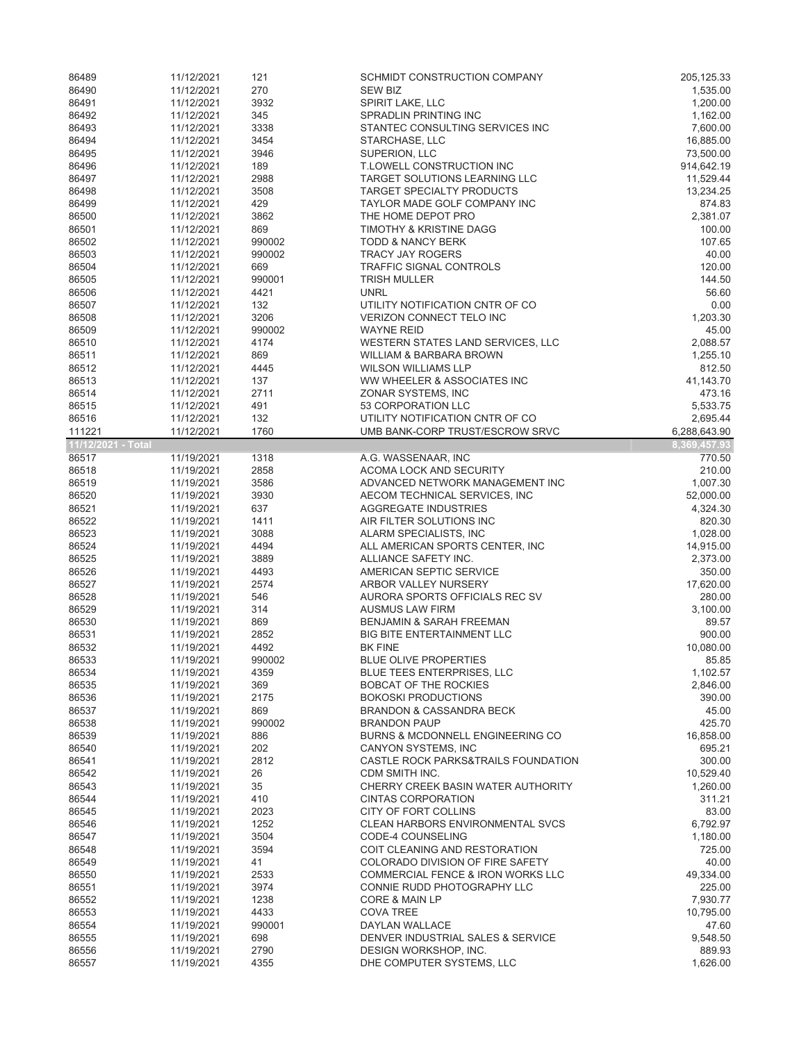| 86489              | 11/12/2021               | 121            | SCHMIDT CONSTRUCTION COMPANY                                    | 205, 125.33            |
|--------------------|--------------------------|----------------|-----------------------------------------------------------------|------------------------|
| 86490              | 11/12/2021               | 270            | <b>SEW BIZ</b>                                                  | 1,535.00               |
| 86491              | 11/12/2021               | 3932           | SPIRIT LAKE, LLC                                                | 1,200.00               |
| 86492              | 11/12/2021               | 345            | SPRADLIN PRINTING INC                                           | 1,162.00               |
| 86493              | 11/12/2021               | 3338           | STANTEC CONSULTING SERVICES INC                                 | 7,600.00               |
| 86494              | 11/12/2021               | 3454           | STARCHASE, LLC                                                  | 16,885.00<br>73,500.00 |
| 86495<br>86496     | 11/12/2021<br>11/12/2021 | 3946<br>189    | SUPERION, LLC<br>T.LOWELL CONSTRUCTION INC                      | 914,642.19             |
| 86497              | 11/12/2021               | 2988           | TARGET SOLUTIONS LEARNING LLC                                   | 11,529.44              |
| 86498              | 11/12/2021               | 3508           | <b>TARGET SPECIALTY PRODUCTS</b>                                | 13,234.25              |
| 86499              | 11/12/2021               | 429            | TAYLOR MADE GOLF COMPANY INC                                    | 874.83                 |
| 86500              | 11/12/2021               | 3862           | THE HOME DEPOT PRO                                              | 2,381.07               |
| 86501              | 11/12/2021               | 869            | <b>TIMOTHY &amp; KRISTINE DAGG</b>                              | 100.00                 |
| 86502              | 11/12/2021               | 990002         | <b>TODD &amp; NANCY BERK</b>                                    | 107.65                 |
| 86503              | 11/12/2021               | 990002         | <b>TRACY JAY ROGERS</b>                                         | 40.00                  |
| 86504              | 11/12/2021               | 669            | TRAFFIC SIGNAL CONTROLS                                         | 120.00                 |
| 86505              | 11/12/2021               | 990001         | <b>TRISH MULLER</b>                                             | 144.50                 |
| 86506              | 11/12/2021               | 4421           | <b>UNRL</b>                                                     | 56.60                  |
| 86507              | 11/12/2021               | 132            | UTILITY NOTIFICATION CNTR OF CO                                 | 0.00                   |
| 86508<br>86509     | 11/12/2021<br>11/12/2021 | 3206<br>990002 | VERIZON CONNECT TELO INC<br><b>WAYNE REID</b>                   | 1,203.30<br>45.00      |
| 86510              | 11/12/2021               | 4174           | WESTERN STATES LAND SERVICES, LLC                               | 2,088.57               |
| 86511              | 11/12/2021               | 869            | WILLIAM & BARBARA BROWN                                         | 1,255.10               |
| 86512              | 11/12/2021               | 4445           | <b>WILSON WILLIAMS LLP</b>                                      | 812.50                 |
| 86513              | 11/12/2021               | 137            | WW WHEELER & ASSOCIATES INC                                     | 41,143.70              |
| 86514              | 11/12/2021               | 2711           | ZONAR SYSTEMS, INC                                              | 473.16                 |
| 86515              | 11/12/2021               | 491            | 53 CORPORATION LLC                                              | 5,533.75               |
| 86516              | 11/12/2021               | 132            | UTILITY NOTIFICATION CNTR OF CO                                 | 2,695.44               |
| 111221             | 11/12/2021               | 1760           | UMB BANK-CORP TRUST/ESCROW SRVC                                 | 6,288,643.90           |
| 11/12/2021 - Total |                          |                |                                                                 | 8,369,457.93           |
| 86517              | 11/19/2021               | 1318           | A.G. WASSENAAR, INC                                             | 770.50                 |
| 86518              | 11/19/2021               | 2858           | ACOMA LOCK AND SECURITY                                         | 210.00                 |
| 86519<br>86520     | 11/19/2021               | 3586<br>3930   | ADVANCED NETWORK MANAGEMENT INC                                 | 1,007.30               |
| 86521              | 11/19/2021<br>11/19/2021 | 637            | AECOM TECHNICAL SERVICES, INC<br>AGGREGATE INDUSTRIES           | 52,000.00<br>4,324.30  |
| 86522              | 11/19/2021               | 1411           | AIR FILTER SOLUTIONS INC                                        | 820.30                 |
| 86523              | 11/19/2021               | 3088           | ALARM SPECIALISTS, INC                                          | 1,028.00               |
| 86524              | 11/19/2021               | 4494           | ALL AMERICAN SPORTS CENTER, INC                                 | 14,915.00              |
| 86525              | 11/19/2021               | 3889           | ALLIANCE SAFETY INC.                                            | 2,373.00               |
| 86526              | 11/19/2021               | 4493           | AMERICAN SEPTIC SERVICE                                         | 350.00                 |
| 86527              | 11/19/2021               | 2574           | ARBOR VALLEY NURSERY                                            | 17,620.00              |
| 86528              | 11/19/2021               | 546            | AURORA SPORTS OFFICIALS REC SV                                  | 280.00                 |
| 86529              | 11/19/2021               | 314            | <b>AUSMUS LAW FIRM</b>                                          | 3,100.00               |
| 86530              | 11/19/2021               | 869            | BENJAMIN & SARAH FREEMAN                                        | 89.57                  |
| 86531<br>86532     | 11/19/2021               | 2852<br>4492   | <b>BIG BITE ENTERTAINMENT LLC</b>                               | 900.00<br>10,080.00    |
| 86533              | 11/19/2021<br>11/19/2021 | 990002         | <b>BK FINE</b><br>BLUE OLIVE PROPERTIES                         | 85.85                  |
| 86534              | 11/19/2021               | 4359           | BLUE TEES ENTERPRISES, LLC                                      | 1,102.57               |
| 86535              | 11/19/2021               | 369            | BOBCAT OF THE ROCKIES                                           | 2,846.00               |
| 86536              | 11/19/2021               | 2175           | <b>BOKOSKI PRODUCTIONS</b>                                      | 390.00                 |
| 86537              | 11/19/2021               | 869            | BRANDON & CASSANDRA BECK                                        | 45.00                  |
| 86538              | 11/19/2021               | 990002         | <b>BRANDON PAUP</b>                                             | 425.70                 |
| 86539              | 11/19/2021               | 886            | BURNS & MCDONNELL ENGINEERING CO                                | 16,858.00              |
| 86540              | 11/19/2021               | 202            | CANYON SYSTEMS, INC                                             | 695.21                 |
| 86541              | 11/19/2021               | 2812           | CASTLE ROCK PARKS&TRAILS FOUNDATION                             | 300.00                 |
| 86542              | 11/19/2021               | 26             | CDM SMITH INC.                                                  | 10,529.40              |
| 86543              | 11/19/2021               | 35             | CHERRY CREEK BASIN WATER AUTHORITY                              | 1,260.00               |
| 86544<br>86545     | 11/19/2021               | 410            | <b>CINTAS CORPORATION</b>                                       | 311.21<br>83.00        |
| 86546              | 11/19/2021<br>11/19/2021 | 2023<br>1252   | CITY OF FORT COLLINS<br><b>CLEAN HARBORS ENVIRONMENTAL SVCS</b> | 6,792.97               |
| 86547              | 11/19/2021               | 3504           | CODE-4 COUNSELING                                               | 1,180.00               |
| 86548              | 11/19/2021               | 3594           | COIT CLEANING AND RESTORATION                                   | 725.00                 |
| 86549              | 11/19/2021               | 41             | COLORADO DIVISION OF FIRE SAFETY                                | 40.00                  |
| 86550              | 11/19/2021               | 2533           | <b>COMMERCIAL FENCE &amp; IRON WORKS LLC</b>                    | 49,334.00              |
| 86551              | 11/19/2021               | 3974           | CONNIE RUDD PHOTOGRAPHY LLC                                     | 225.00                 |
| 86552              | 11/19/2021               | 1238           | CORE & MAIN LP                                                  | 7,930.77               |
| 86553              | 11/19/2021               | 4433           | <b>COVA TREE</b>                                                | 10,795.00              |
| 86554              | 11/19/2021               | 990001         | DAYLAN WALLACE                                                  | 47.60                  |
| 86555              | 11/19/2021               | 698            | DENVER INDUSTRIAL SALES & SERVICE                               | 9,548.50               |
| 86556              | 11/19/2021               | 2790           | DESIGN WORKSHOP, INC.                                           | 889.93                 |
| 86557              | 11/19/2021               | 4355           | DHE COMPUTER SYSTEMS, LLC                                       | 1,626.00               |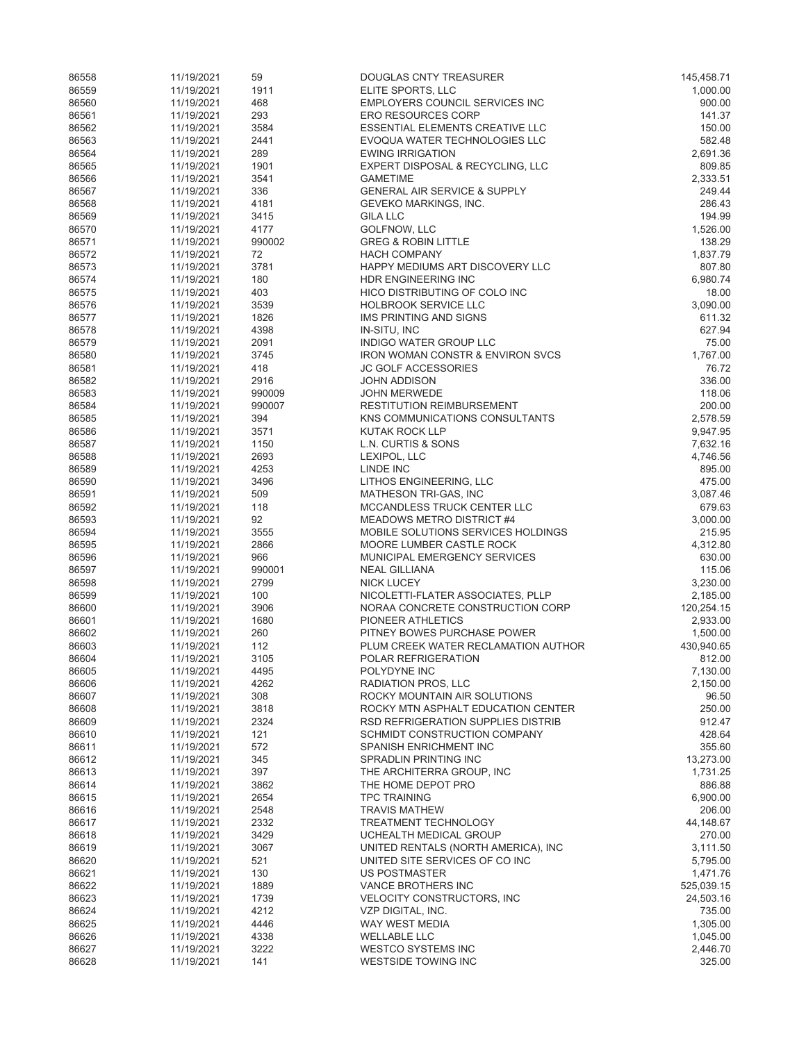| 86558          | 11/19/2021               | 59             | <b>DOUGLAS CNTY TREASURER</b>                                           | 145,458.71             |
|----------------|--------------------------|----------------|-------------------------------------------------------------------------|------------------------|
| 86559          | 11/19/2021               | 1911           | ELITE SPORTS, LLC                                                       | 1,000.00               |
| 86560          | 11/19/2021               | 468            | EMPLOYERS COUNCIL SERVICES INC                                          | 900.00                 |
| 86561          | 11/19/2021               | 293            | <b>ERO RESOURCES CORP</b>                                               | 141.37                 |
| 86562<br>86563 | 11/19/2021<br>11/19/2021 | 3584<br>2441   | <b>ESSENTIAL ELEMENTS CREATIVE LLC</b><br>EVOQUA WATER TECHNOLOGIES LLC | 150.00<br>582.48       |
| 86564          | 11/19/2021               | 289            | <b>EWING IRRIGATION</b>                                                 | 2,691.36               |
| 86565          | 11/19/2021               | 1901           | EXPERT DISPOSAL & RECYCLING, LLC                                        | 809.85                 |
| 86566          | 11/19/2021               | 3541           | <b>GAMETIME</b>                                                         | 2,333.51               |
| 86567          | 11/19/2021               | 336            | <b>GENERAL AIR SERVICE &amp; SUPPLY</b>                                 | 249.44                 |
| 86568          | 11/19/2021               | 4181           | GEVEKO MARKINGS, INC.                                                   | 286.43                 |
| 86569          | 11/19/2021               | 3415           | <b>GILA LLC</b>                                                         | 194.99                 |
| 86570          | 11/19/2021               | 4177           | GOLFNOW, LLC                                                            | 1,526.00               |
| 86571          | 11/19/2021               | 990002         | <b>GREG &amp; ROBIN LITTLE</b>                                          | 138.29                 |
| 86572<br>86573 | 11/19/2021<br>11/19/2021 | 72<br>3781     | <b>HACH COMPANY</b><br>HAPPY MEDIUMS ART DISCOVERY LLC                  | 1,837.79<br>807.80     |
| 86574          | 11/19/2021               | 180            | HDR ENGINEERING INC                                                     | 6,980.74               |
| 86575          | 11/19/2021               | 403            | HICO DISTRIBUTING OF COLO INC                                           | 18.00                  |
| 86576          | 11/19/2021               | 3539           | <b>HOLBROOK SERVICE LLC</b>                                             | 3,090.00               |
| 86577          | 11/19/2021               | 1826           | IMS PRINTING AND SIGNS                                                  | 611.32                 |
| 86578          | 11/19/2021               | 4398           | IN-SITU, INC                                                            | 627.94                 |
| 86579          | 11/19/2021               | 2091           | INDIGO WATER GROUP LLC                                                  | 75.00                  |
| 86580          | 11/19/2021               | 3745           | IRON WOMAN CONSTR & ENVIRON SVCS                                        | 1,767.00               |
| 86581          | 11/19/2021               | 418            | <b>JC GOLF ACCESSORIES</b>                                              | 76.72                  |
| 86582<br>86583 | 11/19/2021<br>11/19/2021 | 2916<br>990009 | JOHN ADDISON<br><b>JOHN MERWEDE</b>                                     | 336.00<br>118.06       |
| 86584          | 11/19/2021               | 990007         | <b>RESTITUTION REIMBURSEMENT</b>                                        | 200.00                 |
| 86585          | 11/19/2021               | 394            | KNS COMMUNICATIONS CONSULTANTS                                          | 2,578.59               |
| 86586          | 11/19/2021               | 3571           | KUTAK ROCK LLP                                                          | 9,947.95               |
| 86587          | 11/19/2021               | 1150           | L.N. CURTIS & SONS                                                      | 7,632.16               |
| 86588          | 11/19/2021               | 2693           | LEXIPOL, LLC                                                            | 4,746.56               |
| 86589          | 11/19/2021               | 4253           | LINDE INC                                                               | 895.00                 |
| 86590          | 11/19/2021               | 3496           | LITHOS ENGINEERING, LLC                                                 | 475.00                 |
| 86591<br>86592 | 11/19/2021               | 509<br>118     | MATHESON TRI-GAS, INC<br>MCCANDLESS TRUCK CENTER LLC                    | 3,087.46<br>679.63     |
| 86593          | 11/19/2021<br>11/19/2021 | 92             | MEADOWS METRO DISTRICT #4                                               | 3,000.00               |
| 86594          | 11/19/2021               | 3555           | MOBILE SOLUTIONS SERVICES HOLDINGS                                      | 215.95                 |
| 86595          | 11/19/2021               | 2866           | MOORE LUMBER CASTLE ROCK                                                | 4,312.80               |
| 86596          | 11/19/2021               | 966            | MUNICIPAL EMERGENCY SERVICES                                            | 630.00                 |
| 86597          | 11/19/2021               | 990001         | <b>NEAL GILLIANA</b>                                                    | 115.06                 |
| 86598          | 11/19/2021               | 2799           | <b>NICK LUCEY</b>                                                       | 3,230.00               |
| 86599          | 11/19/2021               | 100            | NICOLETTI-FLATER ASSOCIATES, PLLP                                       | 2,185.00               |
| 86600          | 11/19/2021               | 3906           | NORAA CONCRETE CONSTRUCTION CORP                                        | 120,254.15             |
| 86601<br>86602 | 11/19/2021<br>11/19/2021 | 1680<br>260    | PIONEER ATHLETICS<br>PITNEY BOWES PURCHASE POWER                        | 2,933.00<br>1,500.00   |
| 86603          | 11/19/2021               | 112            | PLUM CREEK WATER RECLAMATION AUTHOR                                     | 430,940.65             |
| 86604          | 11/19/2021               | 3105           | POLAR REFRIGERATION                                                     | 812.00                 |
| 86605          | 11/19/2021               | 4495           | POLYDYNE INC                                                            | 7,130.00               |
| 86606          | 11/19/2021               | 4262           | RADIATION PROS, LLC                                                     | 2,150.00               |
| 86607          | 11/19/2021               | 308            | ROCKY MOUNTAIN AIR SOLUTIONS                                            | 96.50                  |
| 86608          | 11/19/2021               | 3818           | ROCKY MTN ASPHALT EDUCATION CENTER                                      | 250.00                 |
| 86609          | 11/19/2021               | 2324           | RSD REFRIGERATION SUPPLIES DISTRIB                                      | 912.47                 |
| 86610          | 11/19/2021               | 121            | SCHMIDT CONSTRUCTION COMPANY                                            | 428.64                 |
| 86611<br>86612 | 11/19/2021               | 572<br>345     | SPANISH ENRICHMENT INC<br>SPRADLIN PRINTING INC                         | 355.60                 |
| 86613          | 11/19/2021<br>11/19/2021 | 397            | THE ARCHITERRA GROUP, INC                                               | 13,273.00<br>1,731.25  |
| 86614          | 11/19/2021               | 3862           | THE HOME DEPOT PRO                                                      | 886.88                 |
| 86615          | 11/19/2021               | 2654           | <b>TPC TRAINING</b>                                                     | 6,900.00               |
| 86616          | 11/19/2021               | 2548           | <b>TRAVIS MATHEW</b>                                                    | 206.00                 |
| 86617          | 11/19/2021               | 2332           | TREATMENT TECHNOLOGY                                                    | 44,148.67              |
| 86618          | 11/19/2021               | 3429           | UCHEALTH MEDICAL GROUP                                                  | 270.00                 |
| 86619          | 11/19/2021               | 3067           | UNITED RENTALS (NORTH AMERICA), INC                                     | 3,111.50               |
| 86620          | 11/19/2021               | 521            | UNITED SITE SERVICES OF CO INC                                          | 5,795.00               |
| 86621<br>86622 | 11/19/2021               | 130<br>1889    | US POSTMASTER<br>VANCE BROTHERS INC                                     | 1,471.76<br>525,039.15 |
| 86623          | 11/19/2021<br>11/19/2021 | 1739           | <b>VELOCITY CONSTRUCTORS, INC</b>                                       | 24,503.16              |
| 86624          | 11/19/2021               | 4212           | VZP DIGITAL, INC.                                                       | 735.00                 |
| 86625          | 11/19/2021               | 4446           | WAY WEST MEDIA                                                          | 1,305.00               |
| 86626          | 11/19/2021               | 4338           | <b>WELLABLE LLC</b>                                                     | 1,045.00               |
| 86627          | 11/19/2021               | 3222           | <b>WESTCO SYSTEMS INC</b>                                               | 2,446.70               |
| 86628          | 11/19/2021               | 141            | WESTSIDE TOWING INC                                                     | 325.00                 |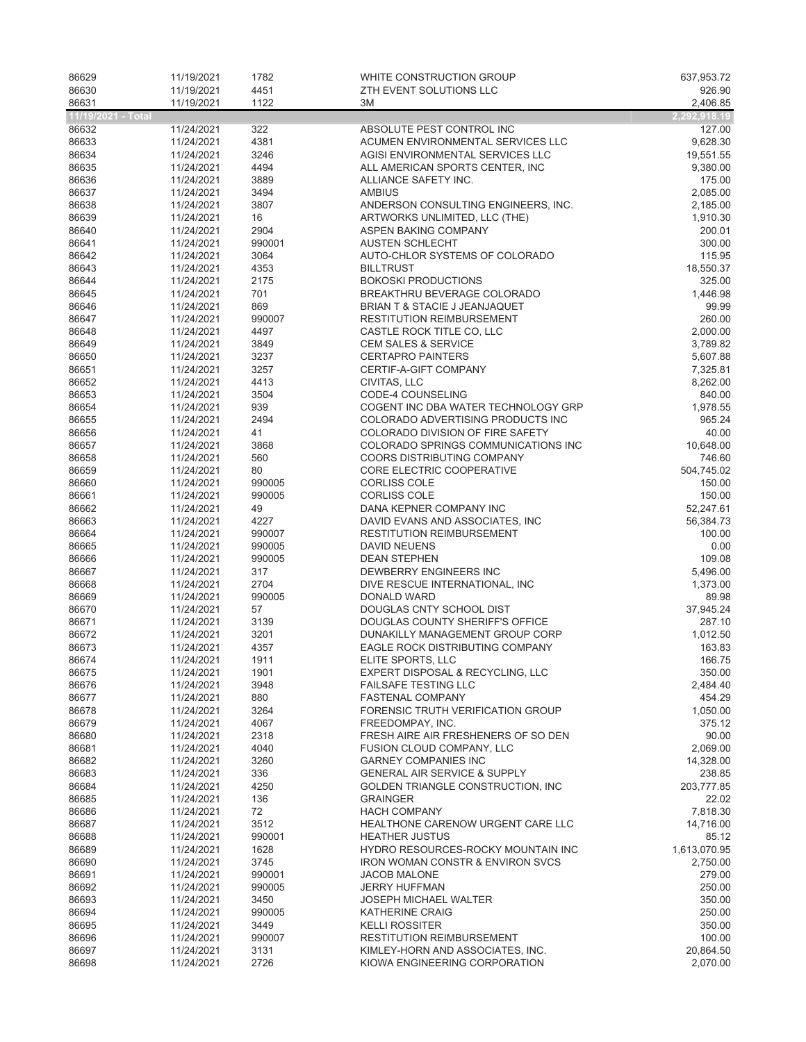| 86629              | 11/19/2021               | 1782             | WHITE CONSTRUCTION GROUP                                                     | 637,953.72           |
|--------------------|--------------------------|------------------|------------------------------------------------------------------------------|----------------------|
| 86630<br>86631     | 11/19/2021<br>11/19/2021 | 4451<br>1122     | ZTH EVENT SOLUTIONS LLC<br>3M                                                | 926.90<br>2,406.85   |
| 11/19/2021 - Total |                          |                  |                                                                              | 2,292,918.19         |
| 86632              | 11/24/2021               | 322              | ABSOLUTE PEST CONTROL INC                                                    | 127.00               |
| 86633              | 11/24/2021               | 4381             | ACUMEN ENVIRONMENTAL SERVICES LLC                                            | 9,628.30             |
| 86634              | 11/24/2021               | 3246             | AGISI ENVIRONMENTAL SERVICES LLC                                             | 19,551.55            |
| 86635              | 11/24/2021               | 4494             | ALL AMERICAN SPORTS CENTER, INC                                              | 9,380.00             |
| 86636              | 11/24/2021               | 3889             | ALLIANCE SAFETY INC.                                                         | 175.00               |
| 86637<br>86638     | 11/24/2021<br>11/24/2021 | 3494<br>3807     | <b>AMBIUS</b>                                                                | 2,085.00             |
| 86639              | 11/24/2021               | 16               | ANDERSON CONSULTING ENGINEERS, INC.<br>ARTWORKS UNLIMITED, LLC (THE)         | 2,185.00<br>1,910.30 |
| 86640              | 11/24/2021               | 2904             | ASPEN BAKING COMPANY                                                         | 200.01               |
| 86641              | 11/24/2021               | 990001           | <b>AUSTEN SCHLECHT</b>                                                       | 300.00               |
| 86642              | 11/24/2021               | 3064             | AUTO-CHLOR SYSTEMS OF COLORADO                                               | 115.95               |
| 86643              | 11/24/2021               | 4353             | <b>BILLTRUST</b>                                                             | 18,550.37            |
| 86644              | 11/24/2021               | 2175             | <b>BOKOSKI PRODUCTIONS</b>                                                   | 325.00               |
| 86645<br>86646     | 11/24/2021<br>11/24/2021 | 701<br>869       | BREAKTHRU BEVERAGE COLORADO<br>BRIAN T & STACIE J JEANJAQUET                 | 1,446.98<br>99.99    |
| 86647              | 11/24/2021               | 990007           | <b>RESTITUTION REIMBURSEMENT</b>                                             | 260.00               |
| 86648              | 11/24/2021               | 4497             | CASTLE ROCK TITLE CO, LLC                                                    | 2,000.00             |
| 86649              | 11/24/2021               | 3849             | <b>CEM SALES &amp; SERVICE</b>                                               | 3,789.82             |
| 86650              | 11/24/2021               | 3237             | <b>CERTAPRO PAINTERS</b>                                                     | 5,607.88             |
| 86651              | 11/24/2021               | 3257             | CERTIF-A-GIFT COMPANY                                                        | 7,325.81             |
| 86652              | 11/24/2021               | 4413             | CIVITAS, LLC                                                                 | 8,262.00             |
| 86653<br>86654     | 11/24/2021<br>11/24/2021 | 3504<br>939      | CODE-4 COUNSELING<br>COGENT INC DBA WATER TECHNOLOGY GRP                     | 840.00<br>1,978.55   |
| 86655              | 11/24/2021               | 2494             | COLORADO ADVERTISING PRODUCTS INC                                            | 965.24               |
| 86656              | 11/24/2021               | 41               | COLORADO DIVISION OF FIRE SAFETY                                             | 40.00                |
| 86657              | 11/24/2021               | 3868             | COLORADO SPRINGS COMMUNICATIONS INC                                          | 10,648.00            |
| 86658              | 11/24/2021               | 560              | <b>COORS DISTRIBUTING COMPANY</b>                                            | 746.60               |
| 86659              | 11/24/2021               | 80               | CORE ELECTRIC COOPERATIVE                                                    | 504,745.02           |
| 86660<br>86661     | 11/24/2021<br>11/24/2021 | 990005<br>990005 | <b>CORLISS COLE</b><br><b>CORLISS COLE</b>                                   | 150.00<br>150.00     |
| 86662              | 11/24/2021               | 49               | DANA KEPNER COMPANY INC                                                      | 52,247.61            |
| 86663              | 11/24/2021               | 4227             | DAVID EVANS AND ASSOCIATES, INC                                              | 56,384.73            |
| 86664              | 11/24/2021               | 990007           | <b>RESTITUTION REIMBURSEMENT</b>                                             | 100.00               |
| 86665              | 11/24/2021               | 990005           | <b>DAVID NEUENS</b>                                                          | 0.00                 |
| 86666              | 11/24/2021               | 990005           | <b>DEAN STEPHEN</b>                                                          | 109.08               |
| 86667              | 11/24/2021               | 317              | DEWBERRY ENGINEERS INC                                                       | 5,496.00             |
| 86668<br>86669     | 11/24/2021<br>11/24/2021 | 2704<br>990005   | DIVE RESCUE INTERNATIONAL, INC.<br><b>DONALD WARD</b>                        | 1,373.00<br>89.98    |
| 86670              | 11/24/2021               | 57               | DOUGLAS CNTY SCHOOL DIST                                                     | 37,945.24            |
| 86671              | 11/24/2021               | 3139             | DOUGLAS COUNTY SHERIFF'S OFFICE                                              | 287.10               |
| 86672              | 11/24/2021               | 3201             | DUNAKILLY MANAGEMENT GROUP CORP                                              | 1,012.50             |
| 86673              | 11/24/2021               | 4357             | EAGLE ROCK DISTRIBUTING COMPANY                                              | 163.83               |
| 86674              | 11/24/2021               | 1911             | ELITE SPORTS, LLC                                                            | 166.75               |
| 86675<br>86676     | 11/24/2021<br>11/24/2021 | 1901<br>3948     | EXPERT DISPOSAL & RECYCLING, LLC<br><b>FAILSAFE TESTING LLC</b>              | 350.00<br>2,484.40   |
| 86677              | 11/24/2021               | 880              | <b>FASTENAL COMPANY</b>                                                      | 454.29               |
| 86678              | 11/24/2021               | 3264             | FORENSIC TRUTH VERIFICATION GROUP                                            | 1,050.00             |
| 86679              | 11/24/2021               | 4067             | FREEDOMPAY, INC.                                                             | 375.12               |
| 86680              | 11/24/2021               | 2318             | FRESH AIRE AIR FRESHENERS OF SO DEN                                          | 90.00                |
| 86681              | 11/24/2021               | 4040             | FUSION CLOUD COMPANY, LLC                                                    | 2,069.00             |
| 86682              | 11/24/2021               | 3260             | <b>GARNEY COMPANIES INC</b>                                                  | 14,328.00            |
| 86683<br>86684     | 11/24/2021<br>11/24/2021 | 336<br>4250      | <b>GENERAL AIR SERVICE &amp; SUPPLY</b><br>GOLDEN TRIANGLE CONSTRUCTION, INC | 238.85<br>203,777.85 |
| 86685              | 11/24/2021               | 136              | <b>GRAINGER</b>                                                              | 22.02                |
| 86686              | 11/24/2021               | 72               | <b>HACH COMPANY</b>                                                          | 7,818.30             |
| 86687              | 11/24/2021               | 3512             | HEALTHONE CARENOW URGENT CARE LLC                                            | 14,716.00            |
| 86688              | 11/24/2021               | 990001           | <b>HEATHER JUSTUS</b>                                                        | 85.12                |
| 86689              | 11/24/2021               | 1628             | HYDRO RESOURCES-ROCKY MOUNTAIN INC                                           | 1,613,070.95         |
| 86690<br>86691     | 11/24/2021<br>11/24/2021 | 3745<br>990001   | <b>IRON WOMAN CONSTR &amp; ENVIRON SVCS</b><br><b>JACOB MALONE</b>           | 2,750.00<br>279.00   |
| 86692              | 11/24/2021               | 990005           | <b>JERRY HUFFMAN</b>                                                         | 250.00               |
| 86693              | 11/24/2021               | 3450             | <b>JOSEPH MICHAEL WALTER</b>                                                 | 350.00               |
| 86694              | 11/24/2021               | 990005           | <b>KATHERINE CRAIG</b>                                                       | 250.00               |
| 86695              | 11/24/2021               | 3449             | <b>KELLI ROSSITER</b>                                                        | 350.00               |
| 86696              | 11/24/2021               | 990007           | <b>RESTITUTION REIMBURSEMENT</b>                                             | 100.00               |
| 86697              | 11/24/2021               | 3131             | KIMLEY-HORN AND ASSOCIATES, INC.                                             | 20,864.50            |
| 86698              | 11/24/2021               | 2726             | KIOWA ENGINEERING CORPORATION                                                | 2,070.00             |